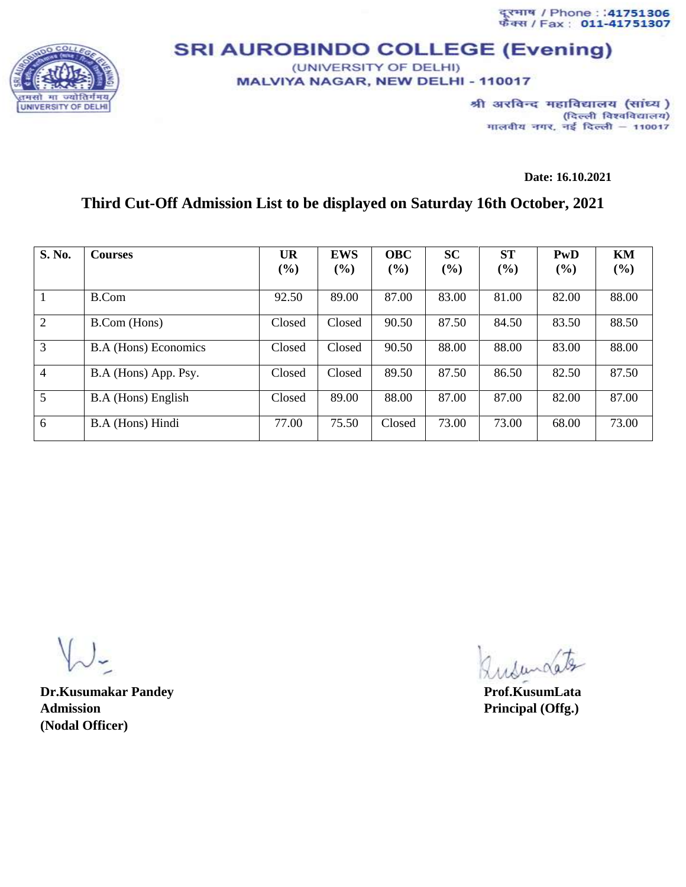दूरमाथ / Phone : :41751306<br>फैक्स / Fax : 011-41751307



## **SRI AUROBINDO COLLEGE (Evening)** (UNIVERSITY OF DELHI)

MALVIYA NAGAR, NEW DELHI - 110017

श्री अरविन्द महाविद्यालय (सांध्य) (दिल्ली विश्वविद्यालय) मालवीय नगर, नई दिल्ली - 110017

**Date: 16.10.2021**

## **Third Cut-Off Admission List to be displayed on Saturday 16th October, 2021**

| S. No.         | <b>Courses</b>              | <b>UR</b> | <b>EWS</b> | <b>OBC</b> | <b>SC</b> | <b>ST</b> | PwD   | KM    |
|----------------|-----------------------------|-----------|------------|------------|-----------|-----------|-------|-------|
|                |                             | (%)       | $(\%)$     | (%)        | (%)       | (%)       | (9/0) | (%)   |
| 1              | B.Com                       | 92.50     | 89.00      | 87.00      | 83.00     | 81.00     | 82.00 | 88.00 |
| 2              | B.Com (Hons)                | Closed    | Closed     | 90.50      | 87.50     | 84.50     | 83.50 | 88.50 |
| 3              | <b>B.A</b> (Hons) Economics | Closed    | Closed     | 90.50      | 88.00     | 88.00     | 83.00 | 88.00 |
| $\overline{4}$ | B.A (Hons) App. Psy.        | Closed    | Closed     | 89.50      | 87.50     | 86.50     | 82.50 | 87.50 |
| $\mathfrak{S}$ | B.A (Hons) English          | Closed    | 89.00      | 88.00      | 87.00     | 87.00     | 82.00 | 87.00 |
| 6              | B.A (Hons) Hindi            | 77.00     | 75.50      | Closed     | 73.00     | 73.00     | 68.00 | 73.00 |

**Dr.Kusumakar Pandey Prof.KusumLata Admission Principal (Offg.) (Nodal Officer)**

Indundates